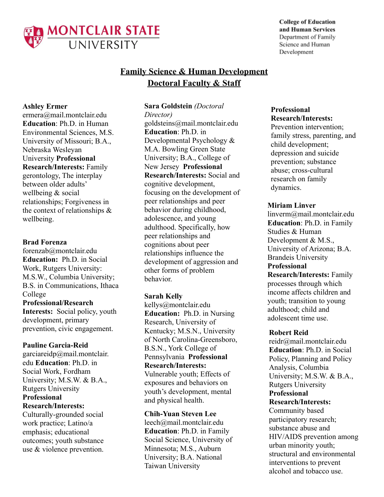

**College of Education** and Human Services Department of Family Science and Human Development

# **Family Science & Human Development Doctoral Faculty & Staff**

## **Ashley Ermer**

ermera@mail.montclair.edu **Education**: Ph.D. in Human Environmental Sciences, M.S. University of Missouri; B.A., Nebraska Wesleyan University **Professional Research/Interests:** Family gerontology, The interplay between older adults' wellbeing & social relationships; Forgiveness in the context of relationships & wellbeing.

#### **Brad Forenza**

forenzab@montclair.edu **Education:** Ph.D. in Social Work, Rutgers University: M.S.W., Columbia University; B.S. in Communications, Ithaca College **Professional/Research**

**Interests:** Social policy, youth development, primary prevention, civic engagement.

**Pauline Garcia-Reid** garciareidp@mail.montclair. edu **Education**: Ph.D. in Social Work, Fordham University; M.S.W. & B.A., Rutgers University **Professional Research/Interests:**

Culturally-grounded social work practice; Latino/a emphasis; educational outcomes; youth substance use & violence prevention.

#### **Sara Goldstein** *(Doctoral*

*Director)* goldsteins@mail.montclair.edu **Education**: Ph.D. in Developmental Psychology & M.A. Bowling Green State University; B.A., College of New Jersey **Professional Research/Interests:** Social and cognitive development, focusing on the development of peer relationships and peer behavior during childhood, adolescence, and young adulthood. Specifically, how peer relationships and cognitions about peer relationships influence the development of aggression and other forms of problem behavior.

#### **Sarah Kelly**

kellys@montclair.edu **Education:** Ph.D. in Nursing Research, University of Kentucky; M.S.N., University of North Carolina-Greensboro, B.S.N., York College of Pennsylvania **Professional Research/Interests:** Vulnerable youth; Effects of

exposures and behaviors on youth's development, mental and physical health.

**Chih-Yuan Steven Lee** leech@mail.montclair.edu **Education**: Ph.D. in Family Social Science, University of Minnesota; M.S., Auburn University; B.A. National Taiwan University

## **Professional Research/Interests:**

Prevention intervention; family stress, parenting, and child development; depression and suicide prevention; substance abuse; cross-cultural research on family dynamics.

## **Miriam Linver**

linverm@mail.montclair.edu **Education**: Ph.D. in Family Studies & Human Development & M.S., University of Arizona; B.A. Brandeis University **Professional**

**Research/Interests:** Family processes through which income affects children and youth; transition to young adulthood; child and adolescent time use.

## **Robert Reid**

reidr@mail.montclair.edu **Education**: Ph.D. in Social Policy, Planning and Policy Analysis, Columbia University; M.S.W. & B.A., Rutgers University **Professional Research/Interests:** Community based participatory research; substance abuse and HIV/AIDS prevention among urban minority youth; structural and environmental interventions to prevent alcohol and tobacco use.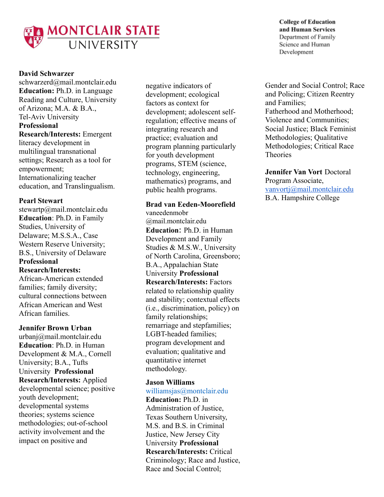

## **David Schwarzer**

schwarzerd@mail.montclair.edu **Education:** Ph.D. in Language Reading and Culture, University of Arizona; M.A. & B.A., Tel-Aviv University **Professional Research/Interests:** Emergent literacy development in multilingual transnational settings; Research as a tool for empowerment; Internationalizing teacher education, and Translingualism.

## **Pearl Stewart**

stewartp@mail.montclair.edu **Education**: Ph.D. in Family Studies, University of Delaware; M.S.S.A., Case Western Reserve University; B.S., University of Delaware **Professional Research/Interests:**

African-American extended families; family diversity; cultural connections between African American and West African families.

# **Jennifer Brown Urban**

urbanj@mail.montclair.edu **Education**: Ph.D. in Human Development & M.A., Cornell University; B.A., Tufts University **Professional Research/Interests:** Applied developmental science; positive youth development; developmental systems theories; systems science methodologies; out-of-school activity involvement and the impact on positive and

negative indicators of development; ecological factors as context for development; adolescent selfregulation; effective means of integrating research and practice; evaluation and program planning particularly for youth development programs, STEM (science, technology, engineering, mathematics) programs, and public health programs.

## **Brad van Eeden-Moorefield**

vaneedenmobr @mail.montclair.edu **Education**: Ph.D. in Human Development and Family Studies & M.S.W., University of North Carolina, Greensboro; B.A., Appalachian State University **Professional Research/Interests:** Factors related to relationship quality and stability; contextual effects (i.e., discrimination, policy) on family relationships; remarriage and stepfamilies; LGBT-headed families; program development and evaluation; qualitative and quantitative internet methodology.

## **Jason Williams**

williamsjas@montclair.edu **Education:** Ph.D. in Administration of Justice, Texas Southern University, M.S. and B.S. in Criminal Justice, New Jersey City University **Professional Research/Interests:** Critical Criminology; Race and Justice, Race and Social Control;

**College of Education** and Human Services Department of Family Science and Human Development

Gender and Social Control; Race and Policing; Citizen Reentry and Families; Fatherhood and Motherhood; Violence and Communities; Social Justice; Black Feminist Methodologies; Qualitative Methodologies; Critical Race **Theories** 

**Jennifer Van Vort** Doctoral Program Associate, [vanvortj@mail.montclair.edu](mailto:vanvortj@mail.montclair.edu) B.A. Hampshire College